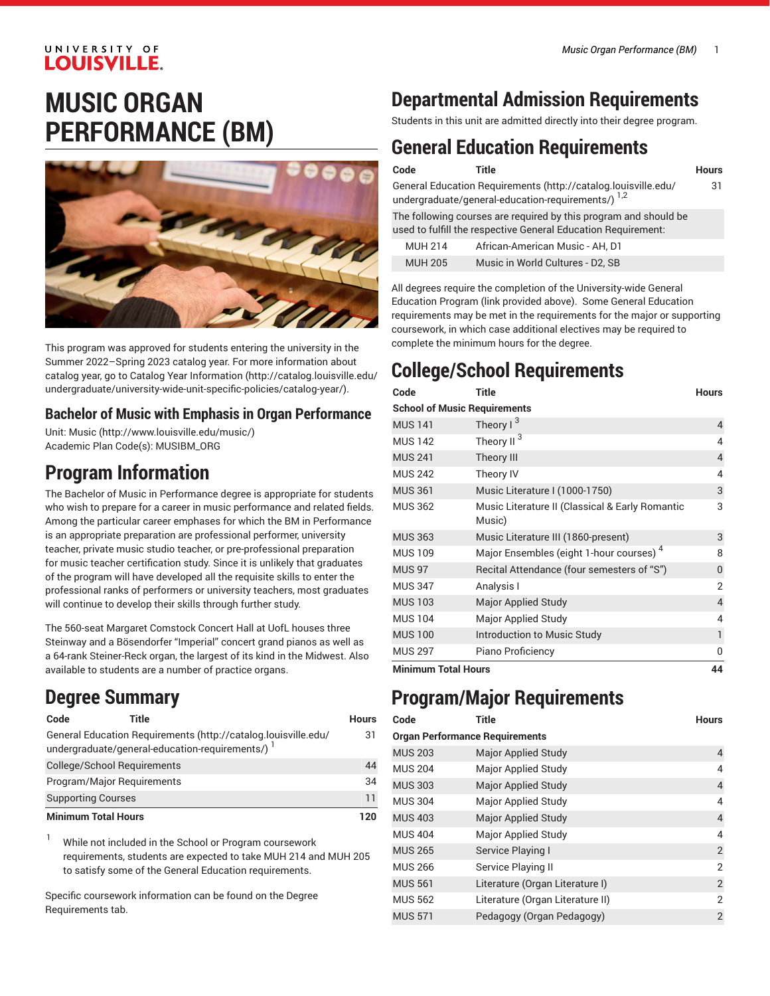### UNIVERSITY OF **LOUISVILLE.**

# **MUSIC ORGAN PERFORMANCE (BM)**



This program was approved for students entering the university in the Summer 2022–Spring 2023 catalog year. For more information about catalog year, go to Catalog Year [Information](http://catalog.louisville.edu/undergraduate/university-wide-unit-specific-policies/catalog-year/) ([http://catalog.louisville.edu/](http://catalog.louisville.edu/undergraduate/university-wide-unit-specific-policies/catalog-year/) [undergraduate/university-wide-unit-specific-policies/catalog-year/](http://catalog.louisville.edu/undergraduate/university-wide-unit-specific-policies/catalog-year/)).

### **Bachelor of Music with Emphasis in Organ Performance**

Unit: [Music \(http://www.louisville.edu/music/](http://www.louisville.edu/music/)) Academic Plan Code(s): MUSIBM\_ORG

### **Program Information**

The Bachelor of Music in Performance degree is appropriate for students who wish to prepare for a career in music performance and related fields. Among the particular career emphases for which the BM in Performance is an appropriate preparation are professional performer, university teacher, private music studio teacher, or pre-professional preparation for music teacher certification study. Since it is unlikely that graduates of the program will have developed all the requisite skills to enter the professional ranks of performers or university teachers, most graduates will continue to develop their skills through further study.

The 560-seat Margaret Comstock Concert Hall at UofL houses three Steinway and a Bösendorfer "Imperial" concert grand pianos as well as a 64-rank Steiner-Reck organ, the largest of its kind in the Midwest. Also available to students are a number of practice organs.

## **Degree Summary**

| Code                               | Title                                                                                                              | <b>Hours</b> |
|------------------------------------|--------------------------------------------------------------------------------------------------------------------|--------------|
|                                    | General Education Requirements (http://catalog.louisville.edu/<br>undergraduate/general-education-requirements/) 1 | 31           |
| <b>College/School Requirements</b> |                                                                                                                    | 44           |
| Program/Major Reguirements         |                                                                                                                    | 34           |
| <b>Supporting Courses</b>          |                                                                                                                    | 11           |
| <b>Minimum Total Hours</b>         |                                                                                                                    | 120          |

<sup>1</sup> While not included in the School or Program coursework requirements, students are expected to take MUH 214 and MUH 205 to satisfy some of the General Education requirements.

Specific coursework information can be found on the Degree Requirements tab.

## **Departmental Admission Requirements**

Students in this unit are admitted directly into their degree program.

## **General Education Requirements**

| Code                                                                                                                              | Title                            | <b>Hours</b> |
|-----------------------------------------------------------------------------------------------------------------------------------|----------------------------------|--------------|
| General Education Requirements (http://catalog.louisville.edu/<br>undergraduate/general-education-requirements/) 1,2              |                                  | 31           |
| The following courses are required by this program and should be<br>used to fulfill the respective General Education Requirement: |                                  |              |
| <b>MUH 214</b>                                                                                                                    | African-American Music - AH, D1  |              |
| <b>MUH 205</b>                                                                                                                    | Music in World Cultures - D2, SB |              |

All degrees require the completion of the University-wide General Education Program (link provided above). Some General Education requirements may be met in the requirements for the major or supporting coursework, in which case additional electives may be required to complete the minimum hours for the degree.

# **College/School Requirements**

| Code                                | <b>Title</b>                                              | <b>Hours</b>   |
|-------------------------------------|-----------------------------------------------------------|----------------|
| <b>School of Music Requirements</b> |                                                           |                |
| <b>MUS 141</b>                      | Theory $1^3$                                              | $\overline{4}$ |
| <b>MUS 142</b>                      | Theory II <sup>3</sup>                                    | 4              |
| <b>MUS 241</b>                      | Theory III                                                | $\overline{4}$ |
| <b>MUS 242</b>                      | Theory IV                                                 | 4              |
| <b>MUS 361</b>                      | Music Literature I (1000-1750)                            | 3              |
| <b>MUS 362</b>                      | Music Literature II (Classical & Early Romantic<br>Music) | 3              |
| <b>MUS 363</b>                      | Music Literature III (1860-present)                       | 3              |
| <b>MUS 109</b>                      | Major Ensembles (eight 1-hour courses) <sup>4</sup>       | 8              |
| <b>MUS 97</b>                       | Recital Attendance (four semesters of "S")                | 0              |
| <b>MUS 347</b>                      | Analysis I                                                | 2              |
| <b>MUS 103</b>                      | <b>Major Applied Study</b>                                | 4              |
| <b>MUS 104</b>                      | Major Applied Study                                       | 4              |
| <b>MUS 100</b>                      | Introduction to Music Study                               | 1              |
| <b>MUS 297</b>                      | Piano Proficiency                                         | O              |
| Misiwana Tatal Harro                |                                                           | A A            |

**Minimum Total Hours 44**

## **Program/Major Requirements**

| Code                                  | Title                            | <b>Hours</b>   |
|---------------------------------------|----------------------------------|----------------|
| <b>Organ Performance Requirements</b> |                                  |                |
| <b>MUS 203</b>                        | <b>Major Applied Study</b>       | 4              |
| <b>MUS 204</b>                        | <b>Major Applied Study</b>       | 4              |
| <b>MUS 303</b>                        | <b>Major Applied Study</b>       | $\overline{4}$ |
| <b>MUS 304</b>                        | <b>Major Applied Study</b>       | 4              |
| <b>MUS 403</b>                        | <b>Major Applied Study</b>       | $\overline{4}$ |
| <b>MUS 404</b>                        | Major Applied Study              | 4              |
| <b>MUS 265</b>                        | Service Playing I                | $\overline{2}$ |
| <b>MUS 266</b>                        | Service Playing II               | $\overline{2}$ |
| <b>MUS 561</b>                        | Literature (Organ Literature I)  | 2              |
| <b>MUS 562</b>                        | Literature (Organ Literature II) | $\overline{2}$ |
| <b>MUS 571</b>                        | Pedagogy (Organ Pedagogy)        | $\overline{2}$ |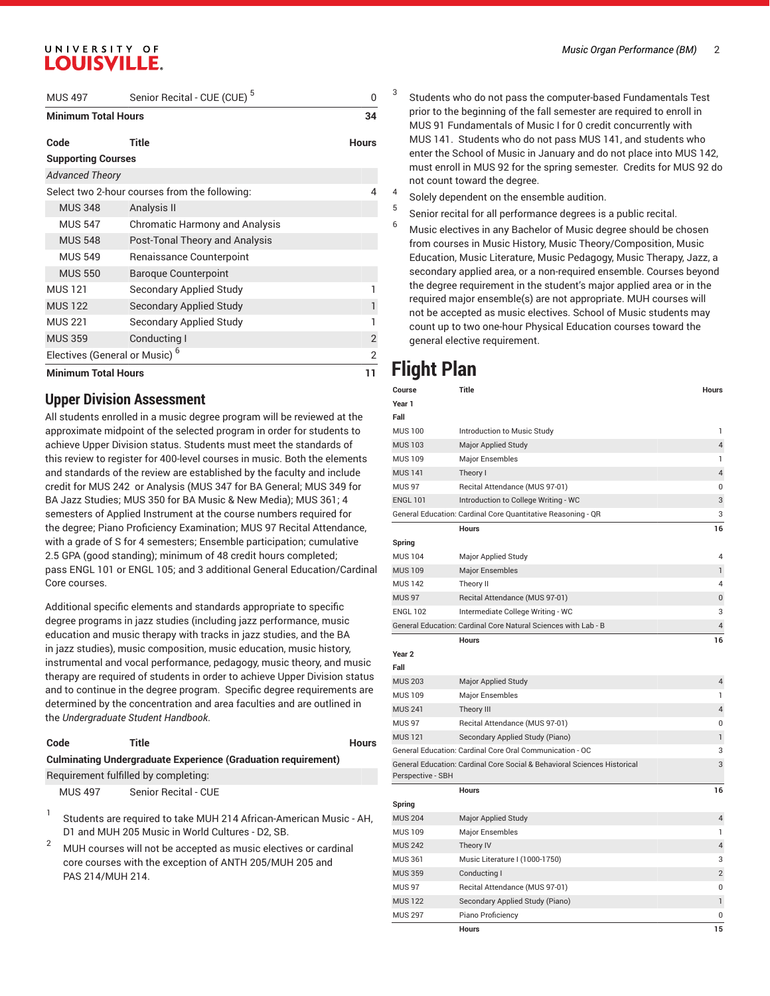### UNIVERSITY OF **LOUISVILLE.**

| <b>MUS 497</b>                            | Senior Recital - CUE (CUE) <sup>5</sup>       | n              |
|-------------------------------------------|-----------------------------------------------|----------------|
| <b>Minimum Total Hours</b>                |                                               | 34             |
| Code                                      | <b>Title</b>                                  | <b>Hours</b>   |
| <b>Supporting Courses</b>                 |                                               |                |
| <b>Advanced Theory</b>                    |                                               |                |
|                                           | Select two 2-hour courses from the following: | 4              |
| <b>MUS 348</b>                            | Analysis II                                   |                |
| <b>MUS 547</b>                            | Chromatic Harmony and Analysis                |                |
| <b>MUS 548</b>                            | Post-Tonal Theory and Analysis                |                |
| <b>MUS 549</b>                            | Renaissance Counterpoint                      |                |
| <b>MUS 550</b>                            | <b>Baroque Counterpoint</b>                   |                |
| <b>MUS121</b>                             | Secondary Applied Study                       |                |
| <b>MUS 122</b>                            | <b>Secondary Applied Study</b>                |                |
| <b>MUS 221</b>                            | Secondary Applied Study                       |                |
| <b>MUS 359</b>                            | Conducting I                                  | $\overline{2}$ |
| Electives (General or Music) <sup>6</sup> |                                               | 2              |
| <b>Minimum Total Hours</b>                |                                               | 11             |

#### **Upper Division Assessment**

All students enrolled in a music degree program will be reviewed at the approximate midpoint of the selected program in order for students to achieve Upper Division status. Students must meet the standards of this review to register for 400-level courses in music. Both the elements and standards of the review are established by the faculty and include credit for MUS 242 or Analysis (MUS 347 for BA General; MUS 349 for BA Jazz Studies; MUS 350 for BA Music & New Media); MUS 361; 4 semesters of Applied Instrument at the course numbers required for the degree; Piano Proficiency Examination; MUS 97 Recital Attendance, with a grade of S for 4 semesters; Ensemble participation; cumulative 2.5 GPA (good standing); minimum of 48 credit hours completed; pass ENGL 101 or ENGL 105; and 3 additional General Education/Cardinal Core courses.

Additional specific elements and standards appropriate to specific degree programs in jazz studies (including jazz performance, music education and music therapy with tracks in jazz studies, and the BA in jazz studies), music composition, music education, music history, instrumental and vocal performance, pedagogy, music theory, and music therapy are required of students in order to achieve Upper Division status and to continue in the degree program. Specific degree requirements are determined by the concentration and area faculties and are outlined in the *Undergraduate Student Handbook*.

#### **Code Title Hours Culminating Undergraduate Experience (Graduation requirement)**

Requirement fulfilled by completing:

MUS 497 Senior Recital - CUE

- 1 Students are required to take MUH 214 African-American Music - AH, D1 and MUH 205 Music in World Cultures - D2, SB.
- <sup>2</sup> MUH courses will not be accepted as music electives or cardinal core courses with the exception of ANTH 205/MUH 205 and PAS 214/MUH 214.
- Students who do not pass the computer-based Fundamentals Test prior to the beginning of the fall semester are required to enroll in MUS 91 Fundamentals of Music I for 0 credit concurrently with MUS 141. Students who do not pass MUS 141, and students who enter the School of Music in January and do not place into MUS 142, must enroll in MUS 92 for the spring semester. Credits for MUS 92 do not count toward the degree.
- 4 Solely dependent on the ensemble audition.
- 5 Senior recital for all performance degrees is a public recital.
- $6$  Music electives in any Bachelor of Music degree should be chosen from courses in Music History, Music Theory/Composition, Music Education, Music Literature, Music Pedagogy, Music Therapy, Jazz, a secondary applied area, or a non-required ensemble. Courses beyond the degree requirement in the student's major applied area or in the required major ensemble(s) are not appropriate. MUH courses will not be accepted as music electives. School of Music students may count up to two one-hour Physical Education courses toward the general elective requirement.

### **Flight Plan**

3

| Course            | <b>Title</b>                                                             | <b>Hours</b>   |
|-------------------|--------------------------------------------------------------------------|----------------|
| Year 1            |                                                                          |                |
| Fall              |                                                                          |                |
| <b>MUS 100</b>    | Introduction to Music Study                                              | 1              |
| <b>MUS 103</b>    | <b>Major Applied Study</b>                                               | 4              |
| <b>MUS 109</b>    | <b>Major Ensembles</b>                                                   | 1              |
| <b>MUS 141</b>    | Theory I                                                                 | 4              |
| <b>MUS 97</b>     | Recital Attendance (MUS 97-01)                                           | $\overline{0}$ |
| <b>ENGL 101</b>   | Introduction to College Writing - WC                                     | 3              |
|                   | General Education: Cardinal Core Quantitative Reasoning - QR             | 3              |
|                   | <b>Hours</b>                                                             | 16             |
| Spring            |                                                                          |                |
| <b>MUS 104</b>    | Major Applied Study                                                      | 4              |
| <b>MUS 109</b>    | <b>Major Ensembles</b>                                                   | 1              |
| <b>MUS 142</b>    | Theory II                                                                | 4              |
| <b>MUS 97</b>     | Recital Attendance (MUS 97-01)                                           | $\mathbf{0}$   |
| <b>ENGL 102</b>   | Intermediate College Writing - WC                                        | 3              |
|                   | General Education: Cardinal Core Natural Sciences with Lab - B           | $\overline{4}$ |
|                   | Hours                                                                    | 16             |
| Year <sub>2</sub> |                                                                          |                |
| Fall              |                                                                          |                |
| <b>MUS 203</b>    | <b>Major Applied Study</b>                                               | 4              |
| <b>MUS 109</b>    | <b>Major Ensembles</b>                                                   | 1              |
| <b>MUS 241</b>    | <b>Theory III</b>                                                        | 4              |
| <b>MUS 97</b>     | Recital Attendance (MUS 97-01)                                           | 0              |
| <b>MUS 121</b>    | Secondary Applied Study (Piano)                                          | 1              |
|                   | General Education: Cardinal Core Oral Communication - OC                 | 3              |
|                   | General Education: Cardinal Core Social & Behavioral Sciences Historical | 3              |
| Perspective - SBH |                                                                          |                |
|                   | <b>Hours</b>                                                             | 16             |
| Spring            |                                                                          |                |
| <b>MUS 204</b>    | Major Applied Study                                                      | 4              |
| <b>MUS 109</b>    | <b>Major Ensembles</b>                                                   | 1              |
| <b>MUS 242</b>    | Theory IV                                                                | $\overline{4}$ |
| <b>MUS 361</b>    | Music Literature I (1000-1750)                                           | 3              |
| <b>MUS 359</b>    | Conducting I                                                             | $\overline{2}$ |
| <b>MUS 97</b>     | Recital Attendance (MUS 97-01)                                           | $\mathbf 0$    |
| <b>MUS 122</b>    | Secondary Applied Study (Piano)                                          | 1              |
| <b>MUS 297</b>    | Piano Proficiency                                                        | 0              |
|                   | <b>Hours</b>                                                             | 15             |